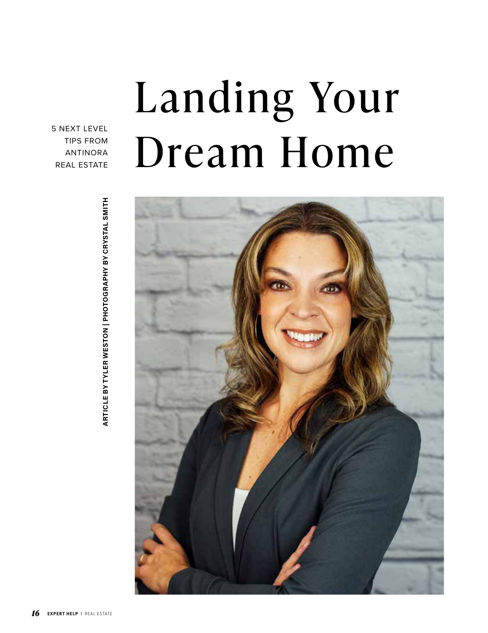## Landing Your Dream Home

5 NEXT LEVEL TIPS FROM ANTINORA REAL ESTATE



**ARTICLE BY TYLER WESTON | PHOTOGRAPHY BY CRYSTAL SMITH ARTICLE BY TYLER WESTON | PHOTOGRAPHY BY CRYSTAL SMITH**